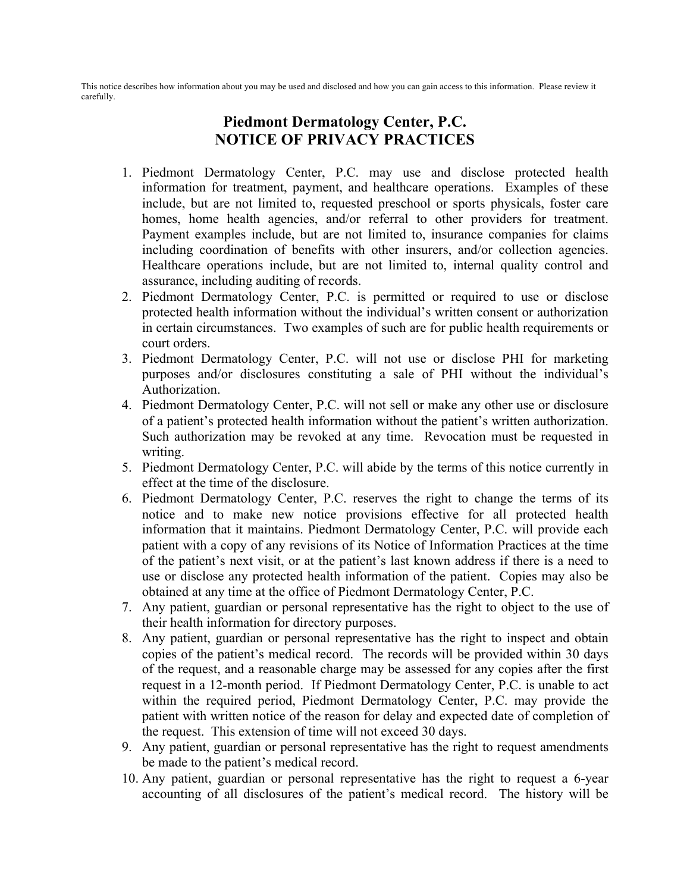This notice describes how information about you may be used and disclosed and how you can gain access to this information. Please review it carefully.

## **Piedmont Dermatology Center, P.C. NOTICE OF PRIVACY PRACTICES**

- 1. Piedmont Dermatology Center, P.C. may use and disclose protected health information for treatment, payment, and healthcare operations. Examples of these include, but are not limited to, requested preschool or sports physicals, foster care homes, home health agencies, and/or referral to other providers for treatment. Payment examples include, but are not limited to, insurance companies for claims including coordination of benefits with other insurers, and/or collection agencies. Healthcare operations include, but are not limited to, internal quality control and assurance, including auditing of records.
- 2. Piedmont Dermatology Center, P.C. is permitted or required to use or disclose protected health information without the individual's written consent or authorization in certain circumstances. Two examples of such are for public health requirements or court orders.
- 3. Piedmont Dermatology Center, P.C. will not use or disclose PHI for marketing purposes and/or disclosures constituting a sale of PHI without the individual's Authorization.
- 4. Piedmont Dermatology Center, P.C. will not sell or make any other use or disclosure of a patient's protected health information without the patient's written authorization. Such authorization may be revoked at any time. Revocation must be requested in writing.
- 5. Piedmont Dermatology Center, P.C. will abide by the terms of this notice currently in effect at the time of the disclosure.
- 6. Piedmont Dermatology Center, P.C. reserves the right to change the terms of its notice and to make new notice provisions effective for all protected health information that it maintains. Piedmont Dermatology Center, P.C. will provide each patient with a copy of any revisions of its Notice of Information Practices at the time of the patient's next visit, or at the patient's last known address if there is a need to use or disclose any protected health information of the patient. Copies may also be obtained at any time at the office of Piedmont Dermatology Center, P.C.
- 7. Any patient, guardian or personal representative has the right to object to the use of their health information for directory purposes.
- 8. Any patient, guardian or personal representative has the right to inspect and obtain copies of the patient's medical record. The records will be provided within 30 days of the request, and a reasonable charge may be assessed for any copies after the first request in a 12-month period. If Piedmont Dermatology Center, P.C. is unable to act within the required period, Piedmont Dermatology Center, P.C. may provide the patient with written notice of the reason for delay and expected date of completion of the request. This extension of time will not exceed 30 days.
- 9. Any patient, guardian or personal representative has the right to request amendments be made to the patient's medical record.
- 10. Any patient, guardian or personal representative has the right to request a 6-year accounting of all disclosures of the patient's medical record. The history will be